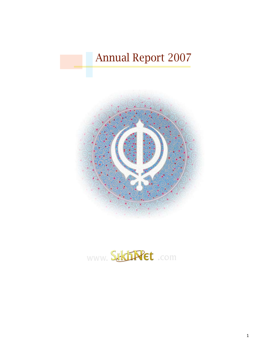# Annual Report 2007



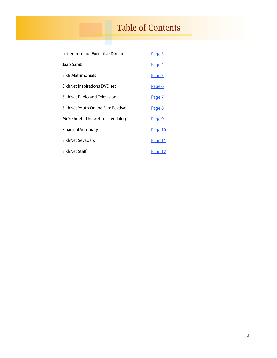# Table of Contents

| Letter from our Executive Director | Page 3        |
|------------------------------------|---------------|
| Jaap Sahib                         | Page 4        |
| Sikh Matrimonials                  | Page 5        |
| SikhNet Inspirations DVD set       | <u>Page 6</u> |
| SikhNet Radio and Television       | Page 7        |
| SikhNet Youth Online Film Festival | Page 8        |
| Mr.Sikhnet - The webmasters blog   | Page 9        |
| <b>Financial Summary</b>           | Page 10       |
| SikhNet Sevadars                   | Page 11       |
| SikhNet Staff                      | Page 12       |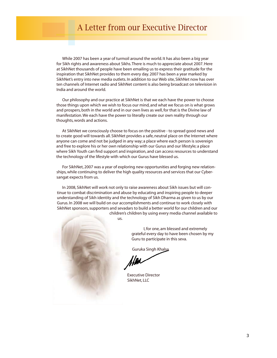# A Letter from our Executive Director

<span id="page-2-0"></span>While 2007 has been a year of turmoil around the world. It has also been a big year for Sikh rights and awareness about Sikhs. There is much to appreciate about 2007. Here at SikhNet thousands of people have been emailing us to express their gratitude for the inspiration that SikhNet provides to them every day. 2007 has been a year marked by SikhNet's entry into new media outlets. In addition to our Web site, SikhNet now has over ten channels of Internet radio and SikhNet content is also being broadcast on television in India and around the world.

Our philosophy and our practice at SikhNet is that we each have the power to choose those things upon which we wish to focus our mind, and what we focus on is what grows and prospers, both in the world and in our own lives as well, for that is the Divine law of manifestation. We each have the power to literally create our own reality through our thoughts, words and actions.

At SikhNet we consciously choose to focus on the positive - to spread good news and to create good will towards all. SikhNet provides a safe, neutral place on the Internet where anyone can come and not be judged in any way; a place where each person is sovereign and free to explore his or her own relationship with our Gurus and our lifestyle; a place where Sikh Youth can find support and inspiration, and can access resources to understand the technology of the lifestyle with which our Gurus have blessed us.

For SikhNet, 2007 was a year of exploring new opportunities and forging new relationships, while continuing to deliver the high quality resources and services that our Cybersangat expects from us.

In 2008, SikhNet will work not only to raise awareness about Sikh issues but will continue to combat discrimination and abuse by educating and inspiring people to deeper understanding of Sikh identity and the technology of Sikh Dharma as given to us by our Gurus. In 2008 we will build on our accomplishments and continue to work closely with SikhNet sponsors, supporters and sevadars to build a better world for our children and our children's children by using every media channel available to

us.

I, for one, am blessed and extremely grateful every day to have been chosen by my Guru to participate in this seva.

Guruka Singh Khalsa

Executive Director SikhNet, LLC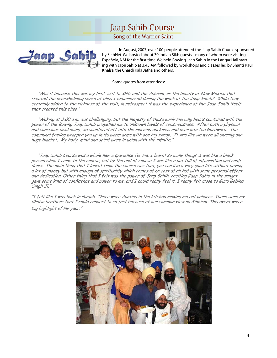# Jaap Sahib Course

Song of the Warrior Saint

<span id="page-3-0"></span>

 In August, 2007, over 100 people attended the Jaap Sahib Course sponsored by SikhNet. We hosted about 30 Indian Sikh guests - many of whom were visiting Española, NM for the first time. We held Bowing Jaap Sahib in the Langar Hall starting with Japji Sahib at 3:45 AM followed by workshops and classes led by Shanti Kaur Khalsa, the Chardi Kala Jatha and others.

### Some quotes from attendees:

 "Was it because this was my first visit to 3HO and the Ashram, or the beauty of New Mexico that created the overwhelming sense of bliss I experienced during the week of the Jaap Sahib? While they certainly added to the richness of the visit, in retrospect it was the experience of the Jaap Sahib itself that created this bliss."

 "Waking at 3:00 a.m. was challenging, but the majesty of those early morning hours combined with the power of the Bowing Jaap Sahib propelled me to unknown levels of consciousness. After both <sup>a</sup> physical and conscious awakening, we sauntered off into the morning darkness and over into the Gurdwara. The communal feeling wrapped you up in its warm arms with one big swoop. It was like we were all sharing one huge blanket. My body, mind and spirit were in union with the infinite."

 "Jaap Sahib Course was <sup>a</sup> whole new experience for me. <sup>I</sup> learnt so many things .I was like <sup>a</sup> blank person when I came to the course, but by the end of course I was like <sup>a</sup> pot full of information and confidence. The main thing that I learnt from the course was that, you can live <sup>a</sup> very good life without having <sup>a</sup> lot of money but with enough of spirituality which comes at no cost at all but with some personal effort and dedication. Other thing that I felt was the power of Jaap Sahib, reciting Jaap Sahib in the sangat gave some kind of confidence and power to me, and I could really feel it. I really felt close to Guru Gobind Singh Ji."

"I felt like <sup>I</sup> was back in Punjab. There were Aunties in the kitchen making me eat pakoras. There were my Khalsa brothers that I could connect to so fast because of our common view on Sikhism. This event was <sup>a</sup> big highlight of my year."

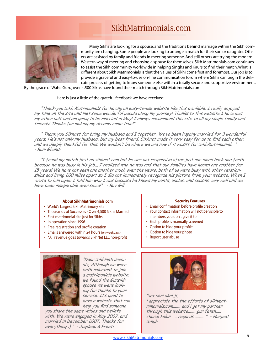# SikhMatrimonials.com

<span id="page-4-0"></span>

Many Sikhs are looking for a spouse, and the traditions behind marriage within the Sikh community are changing. Some people are looking to arrange a match for their son or daughter. Others are assisted by family and friends in meeting someone. And still others are trying the modern Western way of meeting and choosing a spouse for themselves. Sikh Matrimonials.com continues to assist the Sikh community worldwide in helping Singhs and Kaurs to find their match. What is different about Sikh Matrimonials is that the values of Sikhi come first and foremost. Our job is to provide a graceful and easy-to-use on-line communication forum where Sikhs can begin the delicate process of getting to know someone else within a totally secure and supportive environment.

By the grace of Wahe Guru, over 4,500 Sikhs have found their match through SikhMatrimonials.com

### Here is just a little of the grateful feedback we have received:

 "Thank-you Sikh Matrimonials for having an easy-to-use website like this available. <sup>I</sup> really enjoyed my time on the site and met some wonderful people along my journey! Thanks to this website <sup>I</sup> have met my other half and am going to be married in May! I always recommend this site to all my single family and friends! Thanks for making my dreams come true!"

 " Thank you Sikhnet for bring my husband and <sup>I</sup> together. We've been happily married for 3 wonderful years. He's not only my husband, but my best friend. Sikhnet made it very easy for us to find each other, and we deeply thankful for this. We wouldn't be where we are now if it wasn't for SikhMatrimonial. " - Rani Ghandi

 "I found my match first on sikhnet.com but he was not responsive after just one email back and forth because he was busy in his job... <sup>I</sup> realized who he was and that our families have known one another for 15 years! We have not seen one another much over the years, both of us were busy with other relationships and living 200 miles apart so I did not immediately recognize his picture from your website. When I wrote to him again I told him who I was because he knows my aunts, uncles, and cousins very well and we have been inseparable ever since!" - Rav Gill

# **About SikhMatrimonials.com**

- World's Largest Sikh Matrimony site
- Thousands of Successes Over 4,500 Sikhs Married
- First matrimonial site just for Sikhs
- In operation since 1996
- Free registration and profile creation
- Emails answered within 24 hours (on weekdays)
- \*All revenue goes towards SikhNet LLC non-profit

## **Security Features**

- Email confirmation before profile creation
- Your contact information will not be visible to members you don't give it to
- Each profile is manually screened
- Option to hide your profile
- Option to hide your photo
- Report user abuse



"Dear Sikhmatrimonials, Although we were both reluctant to join <sup>a</sup> matrimonials website, we found the Gursikh spouse we were looking for thanks to your service. It's good to have <sup>a</sup> website that can help you find someone

you share the same values and beliefs with. We were engaged in May 2007, and married in December 2007. Thanks for everything :) " - Jagdeep & Preeti



"sat shri akal ji, <sup>i</sup> appreciate the the efforts of sikhmatrimonials.com....... and <sup>i</sup> got my partner through this website....... gur fateh..... chardi kalan...... regards..........." - Harjeet Singh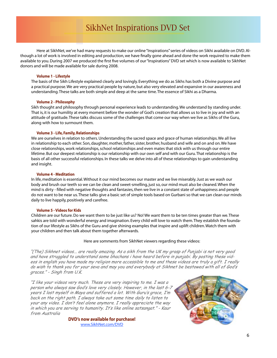# SikhNet Inspirations DVD Set

<span id="page-5-0"></span>Here at SikhNet, we've had many requests to make our online "Inspirations" series of videos on Sikhi available on DVD. Although a lot of work is involved in editing and production, we have finally gone ahead and done the work required to make them available to you. During 2007 we produced the first five volumes of our "Inspirations" DVD set which is now available to SikhNet donors and will be made available for sale during 2008.

#### **Volume 1 - Lifestyle**

The basis of the Sikh Lifestyle explained clearly and lovingly. Everything we do as Sikhs has both a Divine purpose and a practical purpose. We are very practical people by nature, but also very elevated and expansive in our awareness and understanding. These talks are both simple and deep at the same time. The essence of Sikhi as a Dharma.

### **Volume 2 - Philosophy**

Sikh thought and philosophy through personal experience leads to understanding. We understand by standing under. That is, it is our humility at every moment before the wonder of God's creation that allows us to live in joy and with an attitude of gratitude. These talks discuss some of the challenges that come our way when we live as Sikhs of the Guru, along with how to surmount them.

#### **Volume 3 - Life, Family, Relationships**

We are ourselves in relation to others. Understanding the sacred space and grace of human relationships. We all live in relationship to each other. Son, daughter, mother, father, sister, brother, husband and wife and on and on. We have close relationships, work relationships, school relationships and even mates that stick with us through our entire lifetime. But our deepest relationship is our relationship with our own self and with our Guru. That relationship is the basis of all other successful relationships. In these talks we delve into all of these relationships to gain understanding and insight.

#### **Volume 4 - Meditation**

In life, meditation is essential. Without it our mind becomes our master and we live miserably. Just as we wash our body and brush our teeth so we can be clean and sweet-smelling, just so, our mind must also be cleaned. When the mind is dirty - filled with negative thoughts and fantasies, then we live in a constant state of unhappiness and people do not want to be near us. These talks give a basic set of simple tools based on Gurbani so that we can clean our minds daily to live happily, positively and carefree.

#### **Volume 5 - Videos for Kids**

Children are our future. Do we want them to be just like us? No! We want them to be ten times greater than we. These sahkis are told with wonderful energy and imagination. Every child will love to watch them. They establish the foundation of our lifestyle as Sikhs of the Guru and give shining examples that inspire and uplift children. Watch them with your children and then talk about them together afterwards.

#### Here are somments from SikhNet viewers regarding these videos:

"(The) Sikhnet videos... are really amazing. As <sup>a</sup> sikh from the UK my grasp of Punjabi is not very good and have struggled to understand some bhachans <sup>i</sup> have heard before in punjabi. By posting these videos in english you have made my religion more accessible to me and these videos are truly <sup>a</sup> gift. I really do wish to thank you for your seva and may you and everybody at Sikhnet be bestowed with all of God's graces." - Singh from U.K.

"I like your videos very much. These are very inspiring to me. <sup>I</sup> was <sup>a</sup> person who always saw God's love very closely. However, in the last 6-[7](http://www.sikhnet.com/dvd) years I lost myself in Maya and suffered <sup>a</sup> lot. With Guru's grace, I'm back on the right path. I always take out some time daily to listen to your any video. I don't feel alone anymore. I really appreciate the way in which you are serving to humanity. It's like online satsangat." - Kaur from Australia

> **DVD's now available for purchase!** [www.SikhNet.com/DVD](http://www.sikhnet.com/dvd)

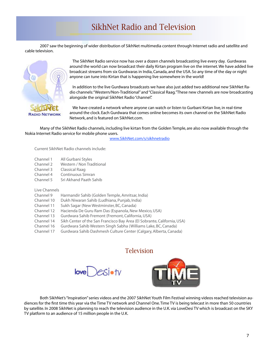# SikhNet Radio and Television

<span id="page-6-0"></span>2007 saw the beginning of wider distribution of SikhNet multimedia content through Internet radio and satellite and cable television.



The SikhNet Radio service now has over a dozen channels broadcasting live every day. Gurdwaras around the world can now broadcast their daily Kirtan program live on the internet. We have added live broadcast streams from six Gurdwaras in India, Canada, and the USA. So any time of the day or night anyone can tune into Kirtan that is happening live somewhere in the world!

In addition to the live Gurdwara broadcasts we have also just added two additional new SikhNet Radio channels: "Western/Non-Traditional" and "Classical Raag."These new channels are now broadcasting alongside the original SikhNet Radio "channel".

We have created a network where anyone can watch or listen to Gurbani Kirtan live, in real-time around the clock. Each Gurdwara that comes online becomes its own channel on the SikhNet Radio Network, and is featured on SikhNet.com.

Many of the SikhNet Radio channels, including live kirtan from the Golden Temple, are also now available through the Nokia Internet Radio service for mobile phone users.

[www.SikhNet.com/s/sikhnetradio](http://www.sikhnet.com/s/sikhnetradio)

Current SikhNet Radio channels include:

- Channel 1 All Gurbani Styles
- Channel 2 Western / Non Traditional<br>Channel 3 Classical Raag
- Classical Raag
- Channel 4 Continuous Simran
- Channel 5 Sri Akhand Paath Sahib

Live Channels

- Channel 9 Harmandir Sahib (Golden Temple, Amritsar, India)
- Channel 10 Dukh Niwaran Sahib (Ludhiana, Punjab, India)
- Channel 11 Sukh Sagar (New Westminster, BC, Canada)
- Channel 12 Hacienda De Guru Ram Das (Espanola, New Mexico, USA)
- Channel 13 Gurdwara Sahib Fremont (Fremont, California, USA)
- Sikh Center of the San Francisco Bay Area (El Sobrante, California, USA)
- Channel 16 Gurdwara Sahib Western Singh Sabha (Williams Lake, BC, Canada)
- Channel 17 Gurdwara Sahib Dashmesh Culture Center (Calgary, Alberta, Canada)

# Television

 $\epsilon$ Siotv



Both SikhNet's "Inspiration" series videos and the 2007 SikhNet Youth Film Festival winning videos reached television audiences for the first time this year via the Time TV network and Channel One. Time TV is being telecast in more than 50 countries by satellite. In 2008 SikhNet is planning to reach the television audience in the U.K. via LoveDesi TV which is broadcast on the SKY TV platform to an audience of 15 million people in the U.K.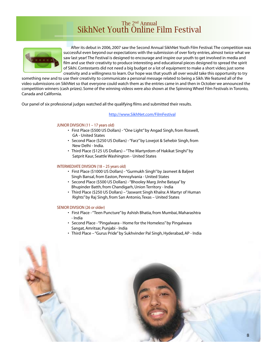# The 2nd Annual SikhNet Youth Online Film Festival

<span id="page-7-0"></span>

 After its debut in 2006, 2007 saw the Second Annual SikhNet Youth Film Festival. The competition was successful even beyond our expectations with the submission of over forty entries, almost twice what we saw last year! The Festival is designed to encourage and inspire our youth to get involved in media and film and use their creativity to produce interesting and educational pieces designed to spread the spirit of Sikhi. Contestants did not need a big budget or a lot of equipment to make a short video; just some creativity and a willingness to learn. Our hope was that youth all over would take this opportunity to try

something new and to use their creativity to communicate a personal message related to being a Sikh. We featured all of the video submissions on SikhNet so that everyone could watch them as the entries came in and then in October we announced the competition winners (cash prizes). Some of the winning videos were also shown at the Spinning Wheel Film Festivals in Toronto, Canada and California.

Our panel of six professional judges watched all the qualifying films and submitted their results.

### [http://www.SikhNet.com/FilmFestival](http://www.sikhnet.com/s/filmfestival)

### JUNIOR DIVISION (11 – 17 years old)

- First Place (\$500 US Dollars) "One Light" by Angad Singh, from Roswell, GA - United States
- Second Place (\$250 US Dollars) "Farz" by Lovejot & Sehebir Singh, from New Delhi - India.
- Third Place (\$125 US Dollars) "The Martyrdom of Hakikat Singhi" by Satprit Kaur, Seattle Washington - United States

# INTERMEDIATE DIVISION (18 – 25 years old)

- First Place (\$1000 US Dollars) "Gurmukh Singh" by Jasmeet & Baljeet Singh Bansal, from Easton, Pennsylvania - United States
- Second Place (\$500 US Dollars) "Bhooley Marg Jinhe Bataya" by Bhupinder Batth, from Chandigarh, Union Territory - India
- Third Place (\$250 US Dollars) "Jaswant Singh Khalra: A Martyr of Human Rights" by Raj Singh, from San Antonio, Texas – United States

### SENIOR DIVISION (26 or older)

- First Place "Teen Puncture" by Ashish Bhatia, from Mumbai, Maharashtra - India
- Second Place "Pingalwara Home for the Homeless" by Pingalwara Sangat, Amritsar, Punjabi - India
- Third Place "Gurus Pride" by Sukhvinder Pal Singh, Hyderabad, AP India

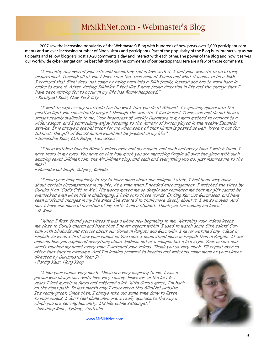# MrSikhNet.com - Webmaster's Blog

<span id="page-8-0"></span>2007 saw the increasing popularity of the Webmaster's Blog with hundreds of new posts, over 2,000 participant comments and an ever-increasing number of Blog visitors and participants. Part of the popularity of the Blog is its interactivity as participants and fellow bloggers post 10-20 comments a day and interact with each other. The power of the Blog and how it serves our worldwide cyber-sangat can be best felt through the comments of our participants. Here are a few of those comments:

 "I recently discovered your site and absolutely fell in love with it. <sup>I</sup> find your website to be utterly inspirational. Through all of you I have seen the true roop of Khalsa and what it means to be <sup>a</sup> Sikh. I realized that Sikhi does not come by being born into <sup>a</sup> Sikh family, instead one has to work hard in order to earn it. After visiting SikhNet I feel like I have found direction in life and the change that I have been waiting for to occur in my life has finally happened." - Kiranjeet Kaur, New York City

 "I want to express my gratitude for the work that you do at Sikhnet. <sup>I</sup> especially appreciate the positive light you consistently project through the website. <sup>I</sup> live in East Tennessee and do not have <sup>a</sup> sangat readily available to me. Your broadcast of weekly Gurdwara is my main method to connect to <sup>a</sup> wider sangat. and <sup>I</sup> particularly enjoy listening to the variety of kirtan played in the weekly Espanola service. It is always <sup>a</sup> special treat for me when some of that kirtan is posted as well. Were it not for Sikhnet, the gift of Guru's kirtan would not be present in my life." – Gurusahai Kaur, Oak Ridge, Tennessee

 "I have watched Guruka Singh's videos over and over again, and each and every time <sup>I</sup> watch them, <sup>I</sup> have tears in my eyes. You have no clue how much you are impacting People all over the globe with such amazing sewa! Sikhnet.com, the MrSikhnet blog, and each and everything you do, just inspires me to the max!"

– Harinderpal Singh, Calgary, Canada

 "I read your blog regularly to try to learn more about our religion. Lately, <sup>I</sup> had been very down about certain circumstances in my life. At <sup>a</sup> time when I needed encouragement, I watched the video by Guruka ji on "God's Gift to Me". His words moved me so deeply and reminded me that my gift cannot be overlooked even when life is challenging. I held onto these words, Ek Ong Kar Sat Gurprasad, and have seen profound changes in my life since I've started to think more deeply about it. I am so moved. And now I have one more affirmation of my faith. I am <sup>a</sup> student. Thank you for helping me learn." - R. Kaur

 "When <sup>I</sup> first, found your videos it was <sup>a</sup> whole new beginning to me. Watching your videos keeps me close to Guru's charan and hope that I never depart within. I used to watch some Sikh saints' Gurbani with Shabads and stories about our Gurus in Punjabi and Gurmukhi. <sup>I</sup> never watched any videos in English, so when <sup>I</sup> first saw your videos on YouTube. <sup>I</sup> understood more in English than in Punjabi. It was amazing how you explained everything about Sikhism not as <sup>a</sup> religion but <sup>a</sup> life style. Your accent and words touched my heart every time I watched your videos. Thank you so very much. I'll repeat ever so often that they're awesome. And I'm looking forward to hearing and watching some more of your videos directed by Gurumustuk Veer Ji."

- Pardip Kaur, Hong Kong

 "I like your videos very much. These are very inspiring to me. <sup>I</sup> was <sup>a</sup> person who always saw God's love very closely. However, in the last 6-7 years I lost myself in Maya and suffered <sup>a</sup> lot. With Guru's grace, I'm back on the right path. In last month only I discovered this SikhNet website. It's really great. Since then, I always take out some time daily to listen to your videos. I don't feel alone anymore. I really appreciate the way in which you are serving humanity. Its like online satsangat." - Navdeep Kaur, Sydney, Australia

[www.MrSikhNet.com](http://www.MrSikhNet.com)

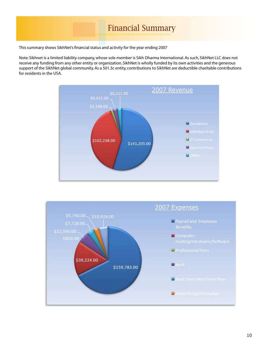# Financial Summary

<span id="page-9-0"></span>This summary shows SikhNet's financial status and activity for the year ending 2007

Note: Sikhnet is a limited liability company, whose sole member is Sikh Dharma International. As such, SikhNet LLC does not receive any funding from any other entity or organization. SikhNet is wholly funded by its own activities and the generous support of the SikhNet global community. As a 501.3c entity, contributions to SikhNet are deductible charitable contributions for residents in the USA.



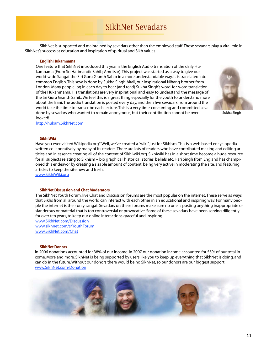# SikhNet Sevadars

<span id="page-10-0"></span>SikhNet is supported and maintained by sevadars other than the employed staff. These sevadars play a vital role in SikhNet's success at education and inspiration of spiritual and Sikh values.

## **English Hukamnama**

One feature that SikhNet introduced this year is the English Audio translation of the daily Hukamnama (From Sri Harimandir Sahib, Amritsar). This project was started as a way to give our world-wide Sangat the Siri Guru Granth Sahib in a more understandable way. It is translated into common English. This seva is done by Sukha Singh Akali, our inspirational Nihang brother from London. Many people log in each day to hear (and read) Sukha Singh's word-for-word translation of the Hukamnama. His translations are very inspirational and easy to understand the message of the Sri Guru Granth Sahib. We feel this is a great thing especially for the youth to understand more about the Bani. The audio translation is posted every day, and then five sevadars from around the world take the time to transcribe each lecture. This is a very time-consuming and committed seva done by sevadars who wanted to remain anonymous, but their contribution cannot be overlooked!



Sukha Singh

<http://hukam.SikhNet.com>

#### **SikhiWiki**

Have you ever visited Wikipedia.org? Well, we've created a "wiki" just for Sikhism. This is a web based encyclopedia written collaboratively by many of its readers. There are lots of readers who have contributed making and editing articles and in essence creating all of the content of Sikhiwiki.org. Sikhiwiki has in a short time become a huge resource for all subjects relating to Sikhism – bio graphical, historical, stories, beliefs etc. Hari Singh from England has championed this endeavor by creating a sizable amount of content, being very active in moderating the site, and featuring articles to keep the site new and fresh.

[www.SikhiWiki.org](http://www.sikhiwiki.org)

### **SikhNet Discussion and Chat Moderators**

The SikhNet Youth Forum, live Chat and Discussion forums are the most popular on the internet. These serve as ways that Sikhs from all around the world can interact with each other in an educational and inspiring way. For many people the internet is their only sangat. Sevadars on these forums make sure no one is posting anything inappropriate or slanderous or material that is too controversial or provocative. Some of these sevadars have been serving diligently for over ten years, to keep our online interactions graceful and inspiring!

[www.SikhNet.com/Discussion](http://www.SikhNet.com/Discussion) [www.sikhnet.com/s/YouthForum](http://www.sikhnet.com/s/YouthForum) [www.SikhNet.com/Chat](http://www.SikhNet.com/Chat)

#### **SikhNet Donors**

In 2006 donations accounted for 38% of our income. In 2007 our donation income accounted for 55% of our total income. More and more, SikhNet is being supported by users like you to keep up everything that SikhNet is doing, and can do in the future. Without our donors there would be no SikhNet, so our donors are our biggest support. [www.SikhNet.com/Donation](http://www.SikhNet.com/Donation)